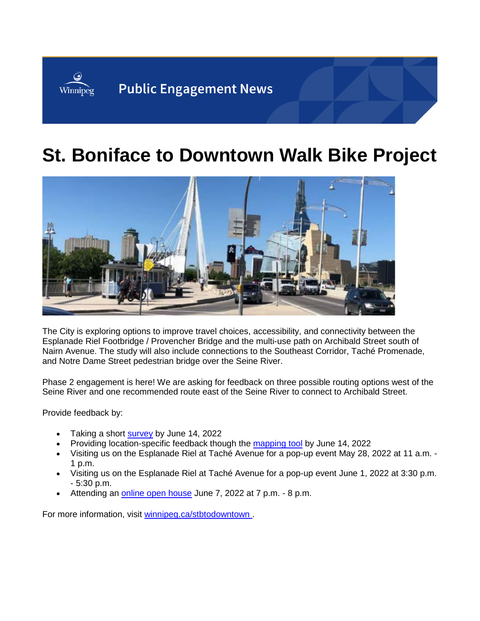## **St. Boniface to Downtown Walk Bike Project**



The City is exploring options to improve travel choices, accessibility, and connectivity between the Esplanade Riel Footbridge / Provencher Bridge and the multi-use path on Archibald Street south of Nairn Avenue. The study will also include connections to the Southeast Corridor, Taché Promenade, and Notre Dame Street pedestrian bridge over the Seine River.

Phase 2 engagement is here! We are asking for feedback on three possible routing options west of the Seine River and one recommended route east of the Seine River to connect to Archibald Street.

Provide feedback by:

- Taking a short [survey](https://www.surveymonkey.com/r/SMPPKJ7) by June 14, 2022
- Providing location-specific feedback though the [mapping tool](https://engage.winnipeg.ca/stboniface-walk-bike?tool=map#tool_tab) by June 14, 2022
- Visiting us on the Esplanade Riel at Taché Avenue for a pop-up event May 28, 2022 at 11 a.m. 1 p.m.
- Visiting us on the Esplanade Riel at Taché Avenue for a pop-up event June 1, 2022 at 3:30 p.m. - 5:30 p.m.
- Attending an [online open house](https://us06web.zoom.us/meeting/register/tZUuf-yspzgqGNBbKjFR6aV90Uc9w56xANeo) June 7, 2022 at 7 p.m. 8 p.m.

For more information, visit [winnipeg.ca/stbtodowntown](https://engage.winnipeg.ca/stboniface-walk-bike) .